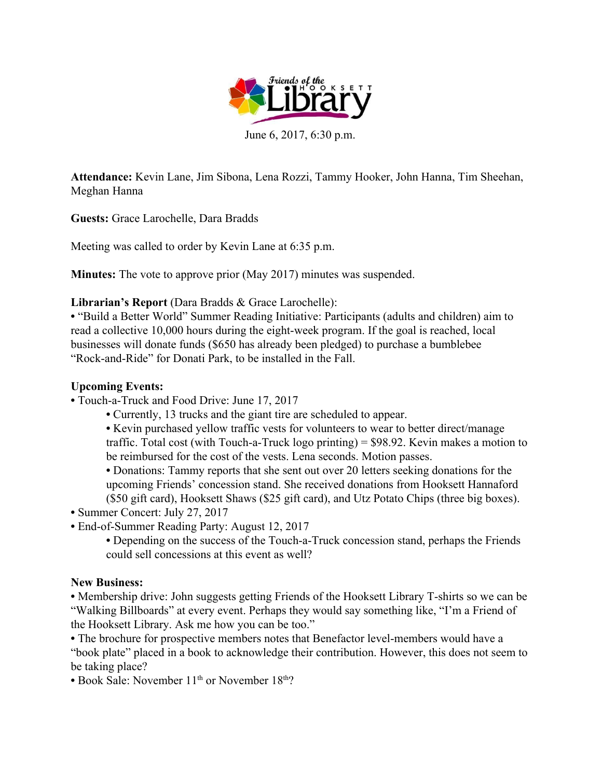

June 6, 2017, 6:30 p.m.

**Attendance:** Kevin Lane, Jim Sibona, Lena Rozzi, Tammy Hooker, John Hanna, Tim Sheehan, Meghan Hanna

**Guests:** Grace Larochelle, Dara Bradds

Meeting was called to order by Kevin Lane at 6:35 p.m.

**Minutes:** The vote to approve prior (May 2017) minutes was suspended.

## **Librarian's Report** (Dara Bradds & Grace Larochelle):

**•** "Build a Better World" Summer Reading Initiative: Participants (adults and children) aim to read a collective 10,000 hours during the eight-week program. If the goal is reached, local businesses will donate funds (\$650 has already been pledged) to purchase a bumblebee "Rock-and-Ride" for Donati Park, to be installed in the Fall.

# **Upcoming Events:**

- **•** Touch-a-Truck and Food Drive: June 17, 2017
	- **•** Currently, 13 trucks and the giant tire are scheduled to appear.
	- **•** Kevin purchased yellow traffic vests for volunteers to wear to better direct/manage traffic. Total cost (with Touch-a-Truck logo printing) = \$98.92. Kevin makes a motion to be reimbursed for the cost of the vests. Lena seconds. Motion passes.

**•** Donations: Tammy reports that she sent out over 20 letters seeking donations for the upcoming Friends' concession stand. She received donations from Hooksett Hannaford (\$50 gift card), Hooksett Shaws (\$25 gift card), and Utz Potato Chips (three big boxes).

- **•** Summer Concert: July 27, 2017
- **•** End-of-Summer Reading Party: August 12, 2017
	- **•** Depending on the success of the Touch-a-Truck concession stand, perhaps the Friends could sell concessions at this event as well?

## **New Business:**

**•** Membership drive: John suggests getting Friends of the Hooksett Library T-shirts so we can be "Walking Billboards" at every event. Perhaps they would say something like, "I'm a Friend of the Hooksett Library. Ask me how you can be too."

**•** The brochure for prospective members notes that Benefactor level-members would have a "book plate" placed in a book to acknowledge their contribution. However, this does not seem to be taking place?

• Book Sale: November 11<sup>th</sup> or November 18<sup>th</sup>?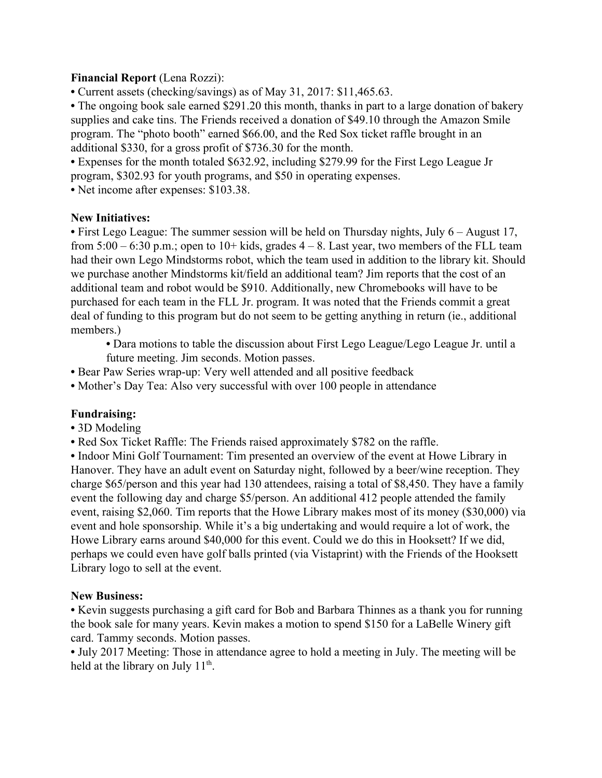### **Financial Report** (Lena Rozzi):

**•** Current assets (checking/savings) as of May 31, 2017: \$11,465.63.

• The ongoing book sale earned \$291.20 this month, thanks in part to a large donation of bakery supplies and cake tins. The Friends received a donation of \$49.10 through the Amazon Smile program. The "photo booth" earned \$66.00, and the Red Sox ticket raffle brought in an additional \$330, for a gross profit of \$736.30 for the month.

**•** Expenses for the month totaled \$632.92, including \$279.99 for the First Lego League Jr program, \$302.93 for youth programs, and \$50 in operating expenses.

**•** Net income after expenses: \$103.38.

### **New Initiatives:**

• First Lego League: The summer session will be held on Thursday nights, July 6 – August 17, from  $5:00 - 6:30$  p.m.; open to  $10 +$  kids, grades  $4 - 8$ . Last year, two members of the FLL team had their own Lego Mindstorms robot, which the team used in addition to the library kit. Should we purchase another Mindstorms kit/field an additional team? Jim reports that the cost of an additional team and robot would be \$910. Additionally, new Chromebooks will have to be purchased for each team in the FLL Jr. program. It was noted that the Friends commit a great deal of funding to this program but do not seem to be getting anything in return (ie., additional members.)

**•** Dara motions to table the discussion about First Lego League/Lego League Jr. until a future meeting. Jim seconds. Motion passes.

- **•** Bear Paw Series wrap-up: Very well attended and all positive feedback
- **•** Mother's Day Tea: Also very successful with over 100 people in attendance

## **Fundraising:**

- **•** 3D Modeling
- **•** Red Sox Ticket Raffle: The Friends raised approximately \$782 on the raffle.

**•** Indoor Mini Golf Tournament: Tim presented an overview of the event at Howe Library in Hanover. They have an adult event on Saturday night, followed by a beer/wine reception. They charge \$65/person and this year had 130 attendees, raising a total of \$8,450. They have a family event the following day and charge \$5/person. An additional 412 people attended the family event, raising \$2,060. Tim reports that the Howe Library makes most of its money (\$30,000) via event and hole sponsorship. While it's a big undertaking and would require a lot of work, the Howe Library earns around \$40,000 for this event. Could we do this in Hooksett? If we did, perhaps we could even have golf balls printed (via Vistaprint) with the Friends of the Hooksett Library logo to sell at the event.

#### **New Business:**

**•** Kevin suggests purchasing a gift card for Bob and Barbara Thinnes as a thank you for running the book sale for many years. Kevin makes a motion to spend \$150 for a LaBelle Winery gift card. Tammy seconds. Motion passes.

**•** July 2017 Meeting: Those in attendance agree to hold a meeting in July. The meeting will be held at the library on July  $11<sup>th</sup>$ .